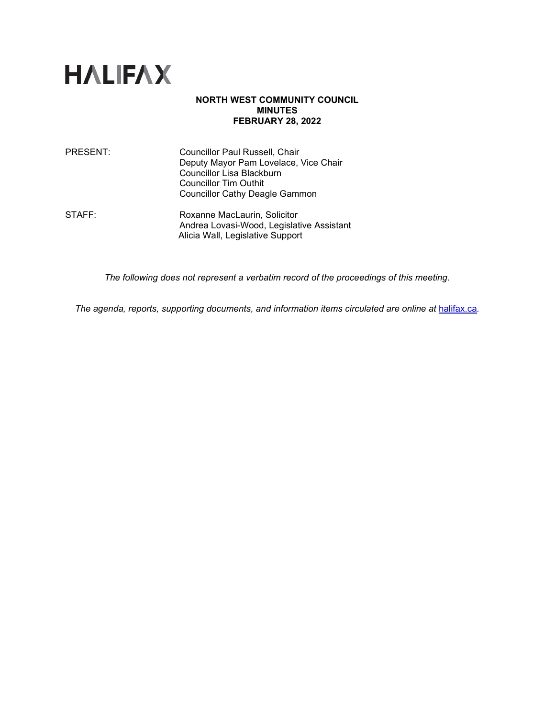

# **NORTH WEST COMMUNITY COUNCIL MINUTES FEBRUARY 28, 2022**

| PRESENT: | <b>Councillor Paul Russell, Chair</b> |
|----------|---------------------------------------|
|          | Deputy Mayor Pam Lovelace, Vice Chair |
|          | Councillor Lisa Blackburn             |
|          | <b>Councillor Tim Outhit</b>          |
|          | <b>Councillor Cathy Deagle Gammon</b> |
|          |                                       |

STAFF: Roxanne MacLaurin, Solicitor Andrea Lovasi-Wood, Legislative Assistant Alicia Wall, Legislative Support

*The following does not represent a verbatim record of the proceedings of this meeting.*

The agenda, reports, supporting documents, and information items circulated are online at **[halifax.ca](http://www.halifax.ca/).**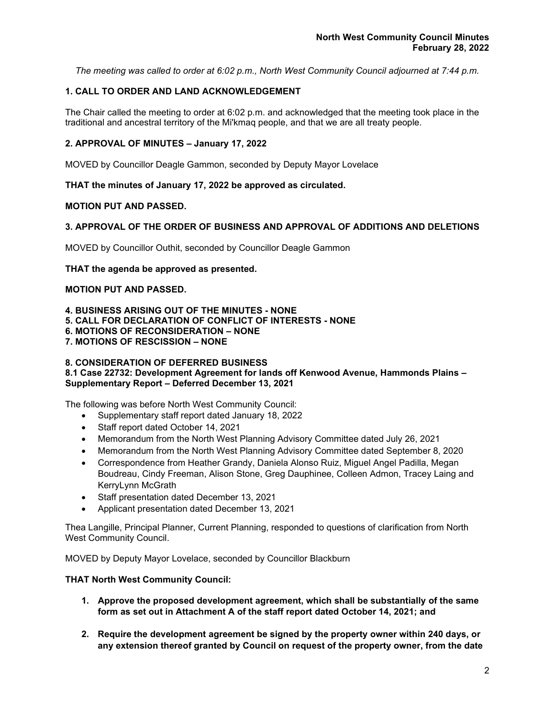*The meeting was called to order at 6:02 p.m., North West Community Council adjourned at 7:44 p.m.*

# **1. CALL TO ORDER AND LAND ACKNOWLEDGEMENT**

The Chair called the meeting to order at 6:02 p.m. and acknowledged that the meeting took place in the traditional and ancestral territory of the Mi'kmaq people, and that we are all treaty people.

# **2. APPROVAL OF MINUTES – January 17, 2022**

MOVED by Councillor Deagle Gammon, seconded by Deputy Mayor Lovelace

**THAT the minutes of January 17, 2022 be approved as circulated.**

# **MOTION PUT AND PASSED.**

# **3. APPROVAL OF THE ORDER OF BUSINESS AND APPROVAL OF ADDITIONS AND DELETIONS**

MOVED by Councillor Outhit, seconded by Councillor Deagle Gammon

**THAT the agenda be approved as presented.**

# **MOTION PUT AND PASSED.**

**4. BUSINESS ARISING OUT OF THE MINUTES - NONE**

- **5. CALL FOR DECLARATION OF CONFLICT OF INTERESTS - NONE**
- **6. MOTIONS OF RECONSIDERATION – NONE**

**7. MOTIONS OF RESCISSION – NONE**

# **8. CONSIDERATION OF DEFERRED BUSINESS**

**8.1 Case 22732: Development Agreement for lands off Kenwood Avenue, Hammonds Plains – Supplementary Report – Deferred December 13, 2021**

The following was before North West Community Council:

- Supplementary staff report dated January 18, 2022
- Staff report dated October 14, 2021
- Memorandum from the North West Planning Advisory Committee dated July 26, 2021
- Memorandum from the North West Planning Advisory Committee dated September 8, 2020
- Correspondence from Heather Grandy, Daniela Alonso Ruiz, Miguel Angel Padilla, Megan Boudreau, Cindy Freeman, Alison Stone, Greg Dauphinee, Colleen Admon, Tracey Laing and KerryLynn McGrath
- Staff presentation dated December 13, 2021
- Applicant presentation dated December 13, 2021

Thea Langille, Principal Planner, Current Planning, responded to questions of clarification from North West Community Council.

MOVED by Deputy Mayor Lovelace, seconded by Councillor Blackburn

# **THAT North West Community Council:**

- **1. Approve the proposed development agreement, which shall be substantially of the same form as set out in Attachment A of the staff report dated October 14, 2021; and**
- **2. Require the development agreement be signed by the property owner within 240 days, or any extension thereof granted by Council on request of the property owner, from the date**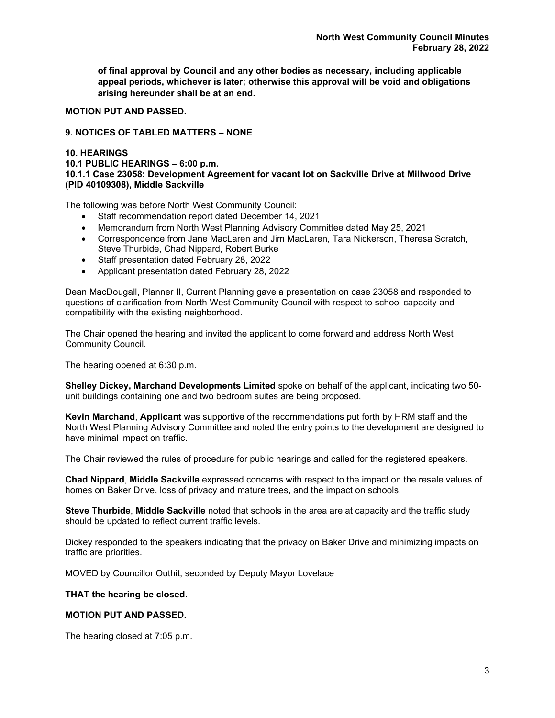**of final approval by Council and any other bodies as necessary, including applicable appeal periods, whichever is later; otherwise this approval will be void and obligations arising hereunder shall be at an end.**

# **MOTION PUT AND PASSED.**

# **9. NOTICES OF TABLED MATTERS – NONE**

### **10. HEARINGS**

**10.1 PUBLIC HEARINGS – 6:00 p.m. 10.1.1 Case 23058: Development Agreement for vacant lot on Sackville Drive at Millwood Drive (PID 40109308), Middle Sackville**

The following was before North West Community Council:

- Staff recommendation report dated December 14, 2021
- Memorandum from North West Planning Advisory Committee dated May 25, 2021
- Correspondence from Jane MacLaren and Jim MacLaren, Tara Nickerson, Theresa Scratch, Steve Thurbide, Chad Nippard, Robert Burke
- Staff presentation dated February 28, 2022
- Applicant presentation dated February 28, 2022

Dean MacDougall, Planner II, Current Planning gave a presentation on case 23058 and responded to questions of clarification from North West Community Council with respect to school capacity and compatibility with the existing neighborhood.

The Chair opened the hearing and invited the applicant to come forward and address North West Community Council.

The hearing opened at 6:30 p.m.

**Shelley Dickey, Marchand Developments Limited** spoke on behalf of the applicant, indicating two 50 unit buildings containing one and two bedroom suites are being proposed.

**Kevin Marchand**, **Applicant** was supportive of the recommendations put forth by HRM staff and the North West Planning Advisory Committee and noted the entry points to the development are designed to have minimal impact on traffic.

The Chair reviewed the rules of procedure for public hearings and called for the registered speakers.

**Chad Nippard**, **Middle Sackville** expressed concerns with respect to the impact on the resale values of homes on Baker Drive, loss of privacy and mature trees, and the impact on schools.

**Steve Thurbide**, **Middle Sackville** noted that schools in the area are at capacity and the traffic study should be updated to reflect current traffic levels.

Dickey responded to the speakers indicating that the privacy on Baker Drive and minimizing impacts on traffic are priorities.

MOVED by Councillor Outhit, seconded by Deputy Mayor Lovelace

# **THAT the hearing be closed.**

# **MOTION PUT AND PASSED.**

The hearing closed at 7:05 p.m.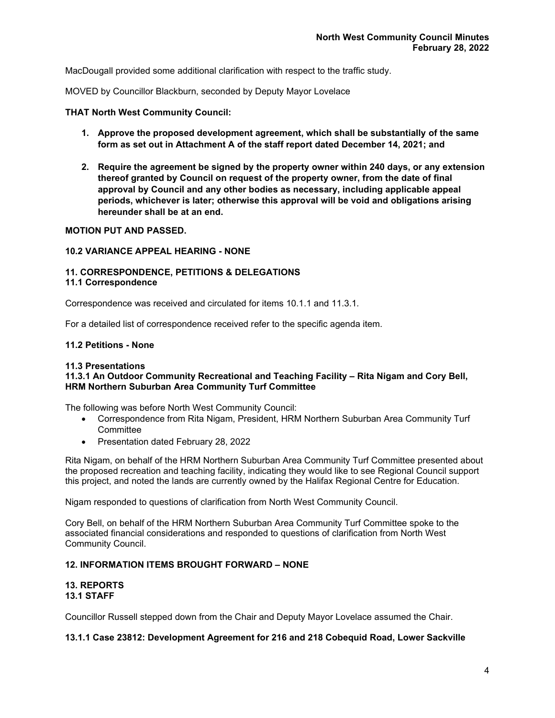MacDougall provided some additional clarification with respect to the traffic study.

MOVED by Councillor Blackburn, seconded by Deputy Mayor Lovelace

# **THAT North West Community Council:**

- **1. Approve the proposed development agreement, which shall be substantially of the same form as set out in Attachment A of the staff report dated December 14, 2021; and**
- **2. Require the agreement be signed by the property owner within 240 days, or any extension thereof granted by Council on request of the property owner, from the date of final approval by Council and any other bodies as necessary, including applicable appeal periods, whichever is later; otherwise this approval will be void and obligations arising hereunder shall be at an end.**

# **MOTION PUT AND PASSED.**

# **10.2 VARIANCE APPEAL HEARING - NONE**

#### **11. CORRESPONDENCE, PETITIONS & DELEGATIONS 11.1 Correspondence**

Correspondence was received and circulated for items 10.1.1 and 11.3.1*.*

For a detailed list of correspondence received refer to the specific agenda item.

#### **11.2 Petitions - None**

# **11.3 Presentations**

# **11.3.1 An Outdoor Community Recreational and Teaching Facility – Rita Nigam and Cory Bell, HRM Northern Suburban Area Community Turf Committee**

The following was before North West Community Council:

- Correspondence from Rita Nigam, President, HRM Northern Suburban Area Community Turf **Committee**
- Presentation dated February 28, 2022

Rita Nigam, on behalf of the HRM Northern Suburban Area Community Turf Committee presented about the proposed recreation and teaching facility, indicating they would like to see Regional Council support this project, and noted the lands are currently owned by the Halifax Regional Centre for Education.

Nigam responded to questions of clarification from North West Community Council.

Cory Bell, on behalf of the HRM Northern Suburban Area Community Turf Committee spoke to the associated financial considerations and responded to questions of clarification from North West Community Council.

# **12. INFORMATION ITEMS BROUGHT FORWARD – NONE**

# **13. REPORTS 13.1 STAFF**

Councillor Russell stepped down from the Chair and Deputy Mayor Lovelace assumed the Chair.

# **13.1.1 Case 23812: Development Agreement for 216 and 218 Cobequid Road, Lower Sackville**